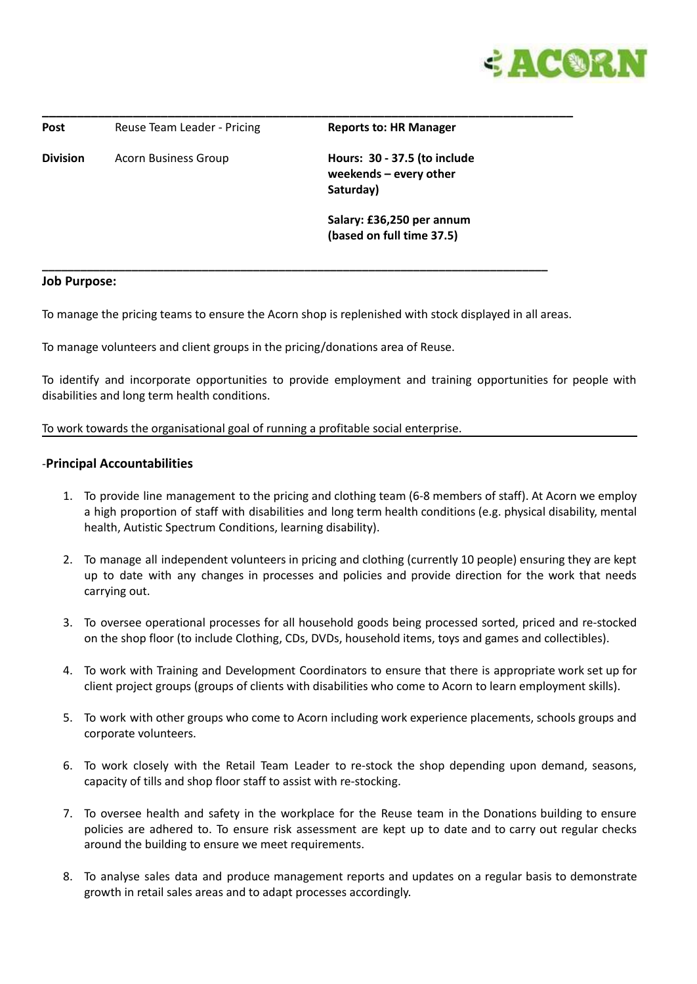

**\_\_\_\_\_\_\_\_\_\_\_\_\_\_\_\_\_\_\_\_\_\_\_\_\_\_\_\_\_\_\_\_\_\_\_\_\_\_\_\_\_\_\_\_\_\_\_\_\_\_\_\_\_\_\_\_\_\_\_\_\_\_\_\_\_\_\_\_\_\_\_\_\_\_\_\_ Post** Reuse Team Leader - Pricing **Reports to: HR Manager Division** Acorn Business Group **Hours: 30 - 37.5 (to include weekends – every other Saturday) Salary: £36,250 per annum (based on full time 37.5) \_\_\_\_\_\_\_\_\_\_\_\_\_\_\_\_\_\_\_\_\_\_\_\_\_\_\_\_\_\_\_\_\_\_\_\_\_\_\_\_\_\_\_\_\_\_\_\_\_\_\_\_\_\_\_\_\_\_\_\_\_\_\_\_\_\_\_\_\_\_\_\_\_\_\_\_\_\_\_**

### **Job Purpose:**

To manage the pricing teams to ensure the Acorn shop is replenished with stock displayed in all areas.

To manage volunteers and client groups in the pricing/donations area of Reuse.

To identify and incorporate opportunities to provide employment and training opportunities for people with disabilities and long term health conditions.

### To work towards the organisational goal of running a profitable social enterprise.

### -**Principal Accountabilities**

- 1. To provide line management to the pricing and clothing team (6-8 members of staff). At Acorn we employ a high proportion of staff with disabilities and long term health conditions (e.g. physical disability, mental health, Autistic Spectrum Conditions, learning disability).
- 2. To manage all independent volunteers in pricing and clothing (currently 10 people) ensuring they are kept up to date with any changes in processes and policies and provide direction for the work that needs carrying out.
- 3. To oversee operational processes for all household goods being processed sorted, priced and re-stocked on the shop floor (to include Clothing, CDs, DVDs, household items, toys and games and collectibles).
- 4. To work with Training and Development Coordinators to ensure that there is appropriate work set up for client project groups (groups of clients with disabilities who come to Acorn to learn employment skills).
- 5. To work with other groups who come to Acorn including work experience placements, schools groups and corporate volunteers.
- 6. To work closely with the Retail Team Leader to re-stock the shop depending upon demand, seasons, capacity of tills and shop floor staff to assist with re-stocking.
- 7. To oversee health and safety in the workplace for the Reuse team in the Donations building to ensure policies are adhered to. To ensure risk assessment are kept up to date and to carry out regular checks around the building to ensure we meet requirements.
- 8. To analyse sales data and produce management reports and updates on a regular basis to demonstrate growth in retail sales areas and to adapt processes accordingly.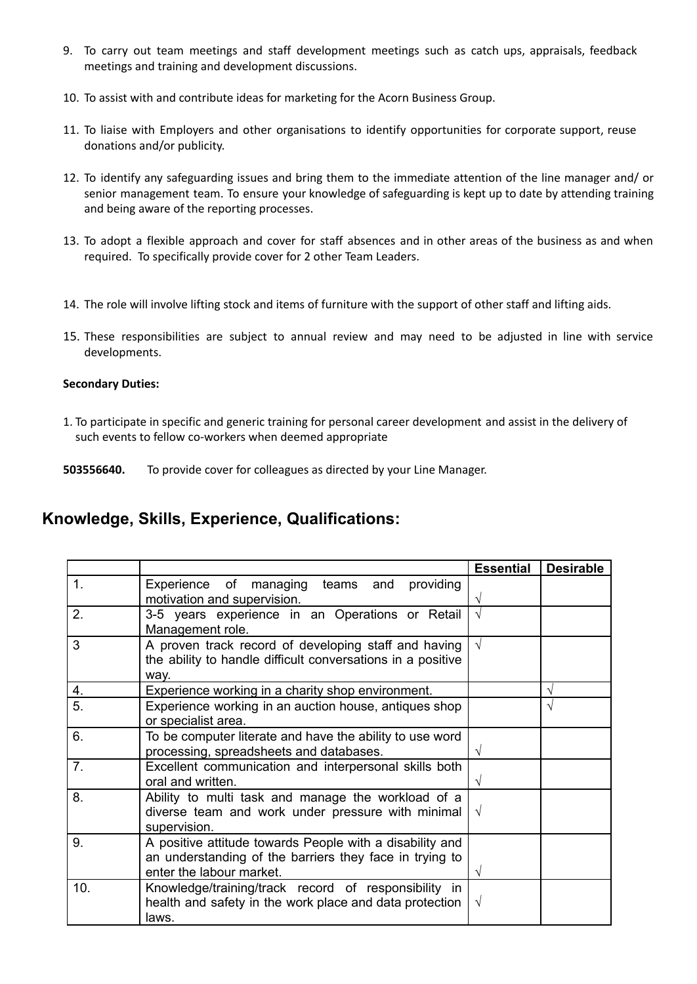- 9. To carry out team meetings and staff development meetings such as catch ups, appraisals, feedback meetings and training and development discussions.
- 10. To assist with and contribute ideas for marketing for the Acorn Business Group.
- 11. To liaise with Employers and other organisations to identify opportunities for corporate support, reuse donations and/or publicity.
- 12. To identify any safeguarding issues and bring them to the immediate attention of the line manager and/ or senior management team. To ensure your knowledge of safeguarding is kept up to date by attending training and being aware of the reporting processes.
- 13. To adopt a flexible approach and cover for staff absences and in other areas of the business as and when required. To specifically provide cover for 2 other Team Leaders.
- 14. The role will involve lifting stock and items of furniture with the support of other staff and lifting aids.
- 15. These responsibilities are subject to annual review and may need to be adjusted in line with service developments.

## **Secondary Duties:**

1. To participate in specific and generic training for personal career development and assist in the delivery of such events to fellow co-workers when deemed appropriate

**503556640.** To provide cover for colleagues as directed by your Line Manager.

# **Knowledge, Skills, Experience, Qualifications:**

|     |                                                                                                                                                 | <b>Essential</b> | <b>Desirable</b> |
|-----|-------------------------------------------------------------------------------------------------------------------------------------------------|------------------|------------------|
| 1.  | Experience of managing teams and<br>providing<br>motivation and supervision.                                                                    |                  |                  |
| 2.  | 3-5 years experience in an Operations or Retail<br>Management role.                                                                             | $\sqrt{}$        |                  |
| 3   | A proven track record of developing staff and having<br>the ability to handle difficult conversations in a positive<br>way.                     | $\sqrt{}$        |                  |
| 4.  | Experience working in a charity shop environment.                                                                                               |                  | V                |
| 5.  | Experience working in an auction house, antiques shop<br>or specialist area.                                                                    |                  | V                |
| 6.  | To be computer literate and have the ability to use word<br>processing, spreadsheets and databases.                                             | V                |                  |
| 7.  | Excellent communication and interpersonal skills both<br>oral and written.                                                                      | V                |                  |
| 8.  | Ability to multi task and manage the workload of a<br>diverse team and work under pressure with minimal<br>supervision.                         | V                |                  |
| 9.  | A positive attitude towards People with a disability and<br>an understanding of the barriers they face in trying to<br>enter the labour market. | V                |                  |
| 10. | Knowledge/training/track record of responsibility in<br>health and safety in the work place and data protection<br>laws.                        | V                |                  |